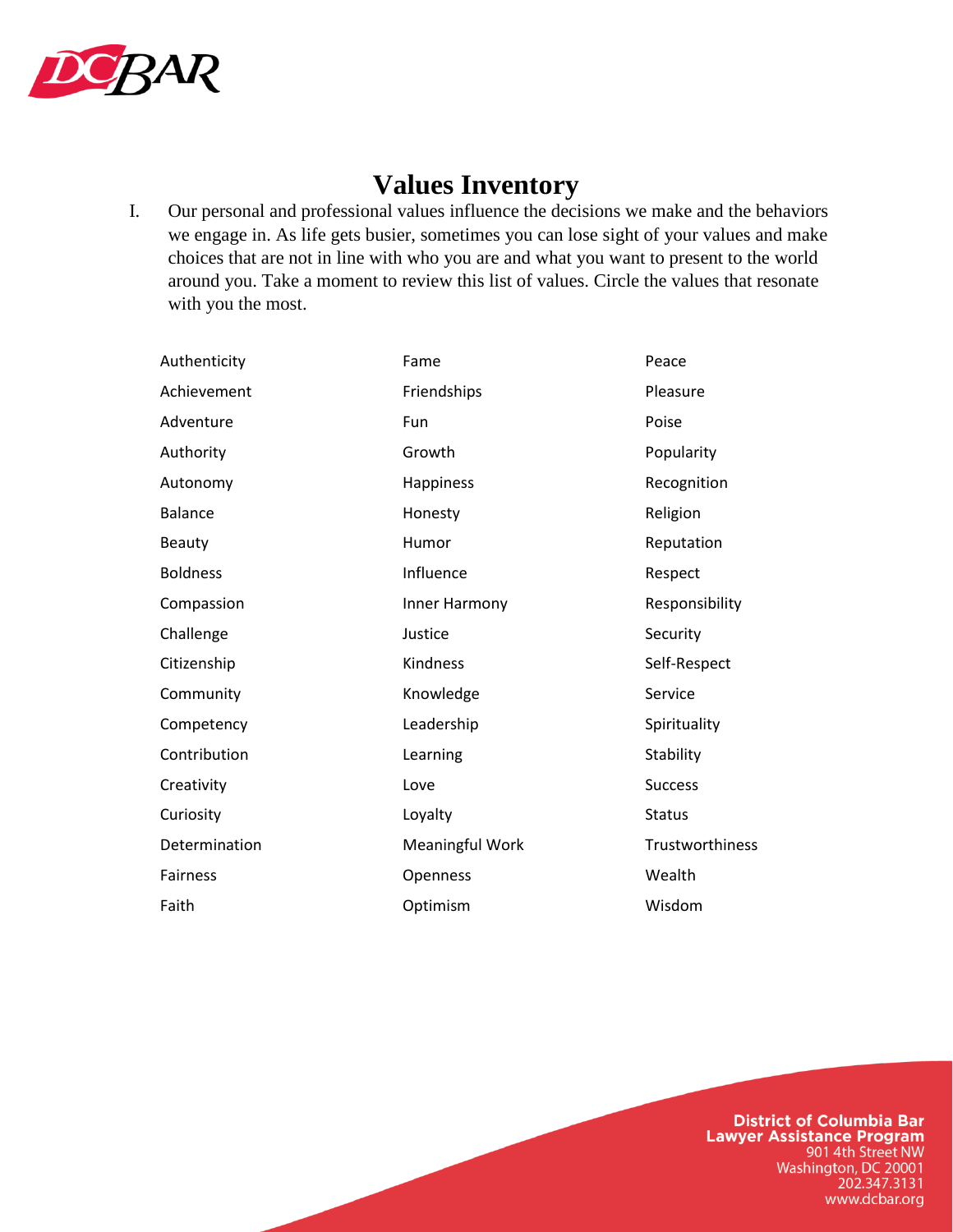

# **Values Inventory**

I. Our personal and professional values influence the decisions we make and the behaviors we engage in. As life gets busier, sometimes you can lose sight of your values and make choices that are not in line with who you are and what you want to present to the world around you. Take a moment to review this list of values. Circle the values that resonate with you the most.

| Authenticity    | Fame            | Peace           |
|-----------------|-----------------|-----------------|
| Achievement     | Friendships     | Pleasure        |
| Adventure       | Fun             | Poise           |
| Authority       | Growth          | Popularity      |
| Autonomy        | Happiness       | Recognition     |
| <b>Balance</b>  | Honesty         | Religion        |
| <b>Beauty</b>   | Humor           | Reputation      |
| <b>Boldness</b> | Influence       | Respect         |
| Compassion      | Inner Harmony   | Responsibility  |
| Challenge       | Justice         | Security        |
| Citizenship     | Kindness        | Self-Respect    |
| Community       | Knowledge       | Service         |
| Competency      | Leadership      | Spirituality    |
| Contribution    | Learning        | Stability       |
| Creativity      | Love            | <b>Success</b>  |
| Curiosity       | Loyalty         | <b>Status</b>   |
| Determination   | Meaningful Work | Trustworthiness |
| Fairness        | Openness        | Wealth          |
| Faith           | Optimism        | Wisdom          |

**District of Columbia Bar Lawyer Assistance Program** 901 4th Street NW Washington, DC 20001<br>202.347.3131 www.dcbar.org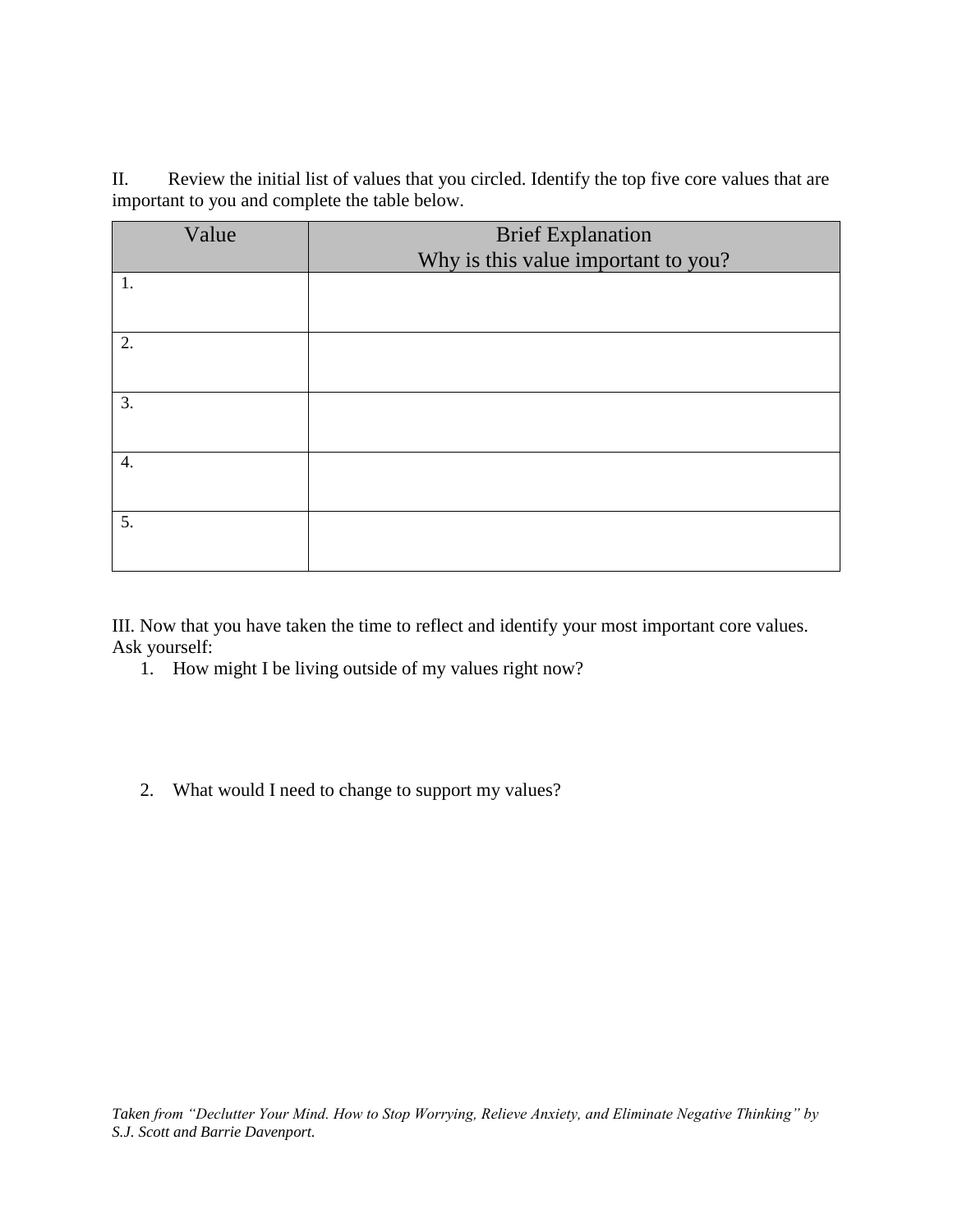II. Review the initial list of values that you circled. Identify the top five core values that are important to you and complete the table below.

| Value | <b>Brief Explanation</b>            |
|-------|-------------------------------------|
|       | Why is this value important to you? |
| 1.    |                                     |
|       |                                     |
| 2.    |                                     |
| 3.    |                                     |
| 4.    |                                     |
| 5.    |                                     |

III. Now that you have taken the time to reflect and identify your most important core values. Ask yourself:

- 1. How might I be living outside of my values right now?
- 2. What would I need to change to support my values?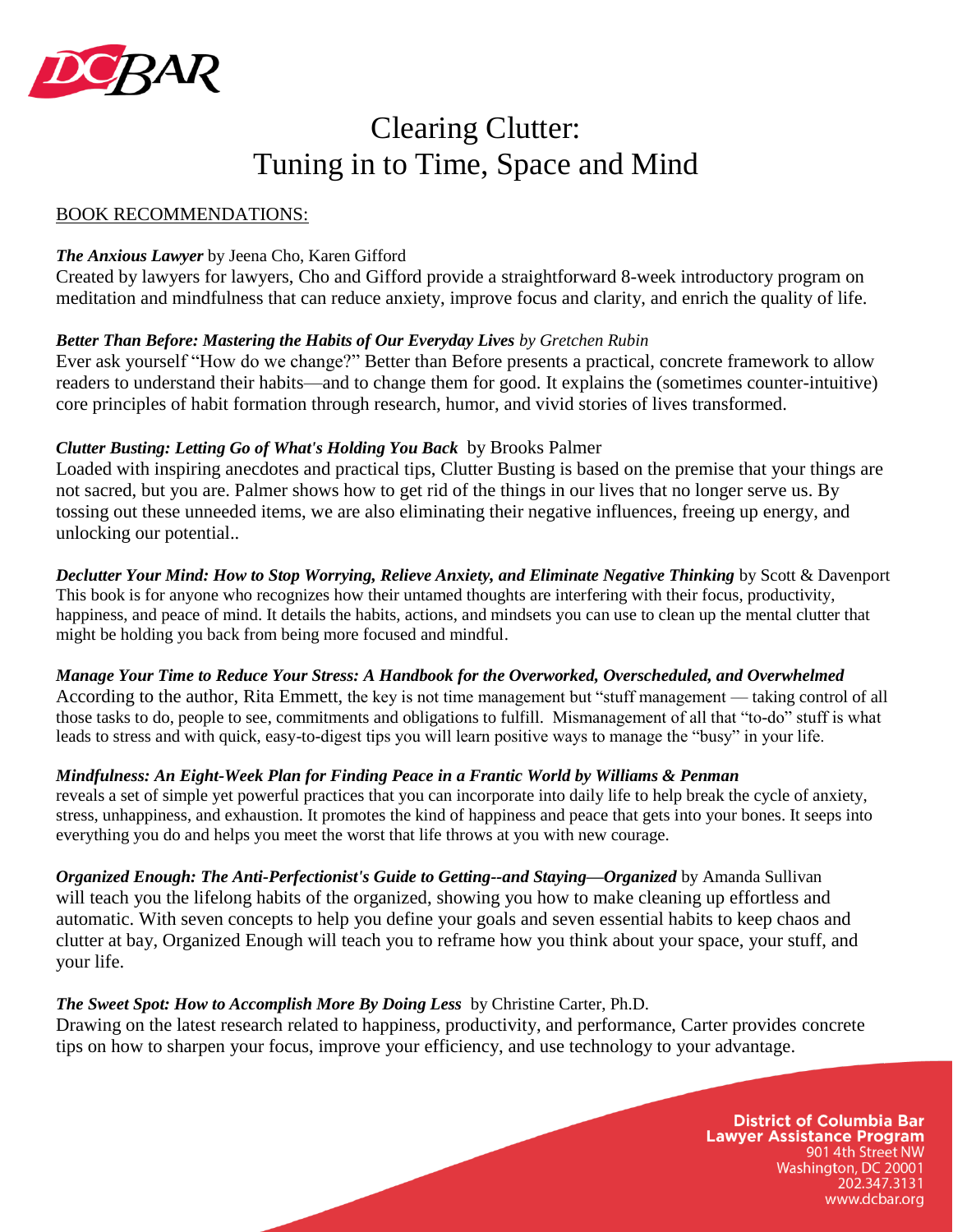

# Clearing Clutter: Tuning in to Time, Space and Mind

#### BOOK RECOMMENDATIONS:

#### *The Anxious Lawyer* by Jeena Cho, Karen Gifford

Created by lawyers for lawyers, Cho and Gifford provide a straightforward 8-week introductory program on meditation and mindfulness that can reduce anxiety, improve focus and clarity, and enrich the quality of life.

#### *Better Than Before: Mastering the Habits of Our Everyday Lives by Gretchen Rubin*

Ever ask yourself "How do we change?" Better than Before presents a practical, concrete framework to allow readers to understand their habits—and to change them for good. It explains the (sometimes counter-intuitive) core principles of habit formation through research, humor, and vivid stories of lives transformed.

#### *Clutter Busting: Letting Go of What's Holding You Back* by Brooks Palmer

Loaded with inspiring anecdotes and practical tips, Clutter Busting is based on the premise that your things are not sacred, but you are. Palmer shows how to get rid of the things in our lives that no longer serve us. By tossing out these unneeded items, we are also eliminating their negative influences, freeing up energy, and unlocking our potential..

*Declutter Your Mind: How to Stop Worrying, Relieve Anxiety, and Eliminate Negative Thinking* by Scott & Davenport This book is for anyone who recognizes how their untamed thoughts are interfering with their focus, productivity, happiness, and peace of mind. It details the habits, actions, and mindsets you can use to clean up the mental clutter that might be holding you back from being more focused and mindful.

*Manage Your Time to Reduce Your Stress: A Handbook for the Overworked, Overscheduled, and Overwhelmed* According to the author, Rita Emmett, the key is not time management but "stuff management — taking control of all those tasks to do, people to see, commitments and obligations to fulfill. Mismanagement of all that "to-do" stuff is what leads to stress and with quick, easy-to-digest tips you will learn positive ways to manage the "busy" in your life.

#### *Mindfulness: An Eight-Week Plan for Finding Peace in a Frantic World by Williams & Penman*

reveals a set of simple yet powerful practices that you can incorporate into daily life to help break the cycle of anxiety, stress, unhappiness, and exhaustion. It promotes the kind of happiness and peace that gets into your bones. It seeps into everything you do and helps you meet the worst that life throws at you with new courage.

*Organized Enough: The Anti-Perfectionist's Guide to Getting--and Staying—Organized* by Amanda Sullivan will teach you the lifelong habits of the organized, showing you how to make cleaning up effortless and automatic. With seven concepts to help you define your goals and seven essential habits to keep chaos and clutter at bay, Organized Enough will teach you to reframe how you think about your space, your stuff, and your life.

#### *The Sweet Spot: How to Accomplish More By Doing Less* by Christine Carter, Ph.D.

Drawing on the latest research related to happiness, productivity, and performance, Carter provides concrete tips on how to sharpen your focus, improve your efficiency, and use technology to your advantage.

> **District of Columbia Bar Lawyer Assistance Program** 901 4th Street NW Washington, DC 20001 202.347.3131 www.dcbar.org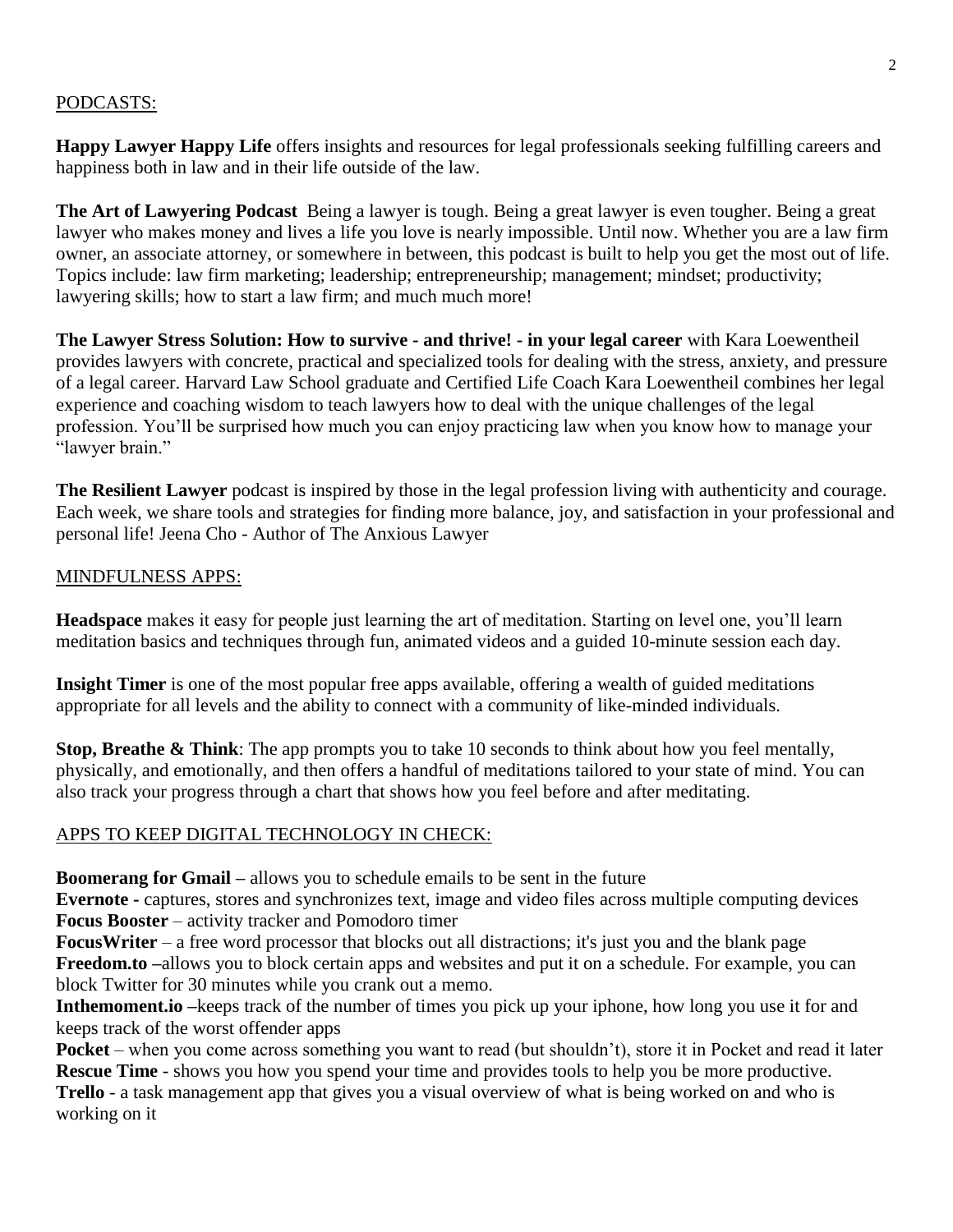#### PODCASTS:

**Happy Lawyer Happy Life** offers insights and resources for legal professionals seeking fulfilling careers and happiness both in law and in their life outside of the law.

**The Art of Lawyering Podcast** Being a lawyer is tough. Being a great lawyer is even tougher. Being a great lawyer who makes money and lives a life you love is nearly impossible. Until now. Whether you are a law firm owner, an associate attorney, or somewhere in between, this podcast is built to help you get the most out of life. Topics include: law firm marketing; leadership; entrepreneurship; management; mindset; productivity; lawyering skills; how to start a law firm; and much much more!

**The Lawyer Stress Solution: How to survive - and thrive! - in your legal career** with Kara Loewentheil provides lawyers with concrete, practical and specialized tools for dealing with the stress, anxiety, and pressure of a legal career. Harvard Law School graduate and Certified Life Coach Kara Loewentheil combines her legal experience and coaching wisdom to teach lawyers how to deal with the unique challenges of the legal profession. You'll be surprised how much you can enjoy practicing law when you know how to manage your "lawyer brain."

**The Resilient Lawyer** podcast is inspired by those in the legal profession living with authenticity and courage. Each week, we share tools and strategies for finding more balance, joy, and satisfaction in your professional and personal life! Jeena Cho - Author of The Anxious Lawyer

#### MINDFULNESS APPS:

**Headspace** makes it easy for people just learning the art of meditation. Starting on level one, you'll learn meditation basics and techniques through fun, animated videos and a guided 10-minute session each day.

**Insight Timer** is one of the most popular free apps available, offering a wealth of guided meditations appropriate for all levels and the ability to connect with a community of like-minded individuals.

**Stop, Breathe & Think**: The app prompts you to take 10 seconds to think about how you feel mentally, physically, and emotionally, and then offers a handful of meditations tailored to your state of mind. You can also track your progress through a chart that shows how you feel before and after meditating.

#### APPS TO KEEP DIGITAL TECHNOLOGY IN CHECK:

**Boomerang for Gmail –** allows you to schedule emails to be sent in the future

**Evernote -** captures, stores and synchronizes text, image and video files across multiple computing devices **Focus Booster** – activity tracker and Pomodoro timer

**FocusWriter** – a free word processor that blocks out all distractions; it's just you and the blank page **Freedom.to –**allows you to block certain apps and websites and put it on a schedule. For example, you can block Twitter for 30 minutes while you crank out a memo.

**Inthemoment.io –**keeps track of the number of times you pick up your iphone, how long you use it for and keeps track of the worst offender apps

**Pocket** – when you come across something you want to read (but shouldn't), store it in Pocket and read it later **Rescue Time** - shows you how you spend your time and provides tools to help you be more productive.

**Trello** - a task management app that gives you a visual overview of what is being worked on and who is working on it